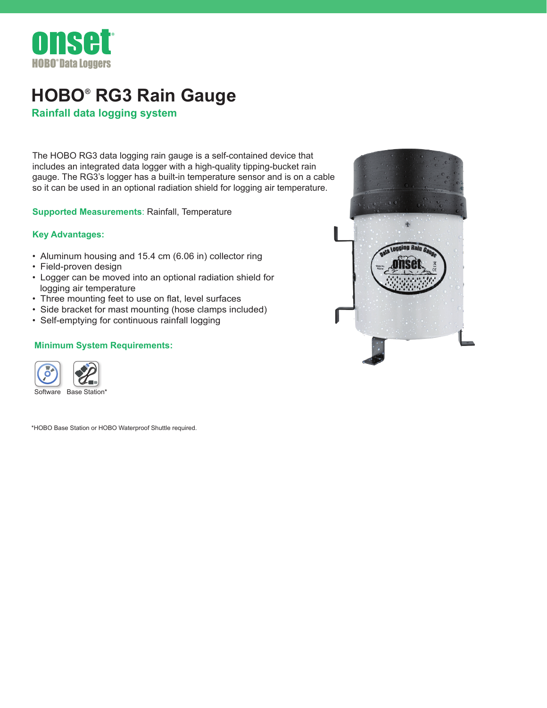

## **HOBO® RG3 Rain Gauge**

**Rainfall data logging system**

The HOBO RG3 data logging rain gauge is a self-contained device that includes an integrated data logger with a high-quality tipping-bucket rain gauge. The RG3's logger has a built-in temperature sensor and is on a ca[ble](http://www.onsetcomp.com/products/data-loggers/rg3)  so it can be used in an optional radiation shield for logging air temperature.

**Supported Measurements**: Rainfall, Temperature

## **Key Advantages:**

- Aluminum housing and 15.4 cm (6.06 in) collector ring
- Field-proven design
- Logger can be moved into an optional radiation shield for logging air temperature
- Three mounting feet to use on flat, level surfaces
- Side bracket for mast mounting (hose clamps included)
- Self-emptying for continuous rainfall logging

## **Minimum System Requirements:**



\*HOBO Base Station or HOBO Waterproof Shuttle required.